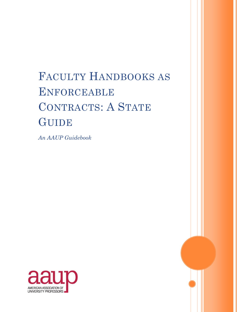# FACULTY HANDBOOKS AS ENFORCEABLE CONTRACTS: A STATE **GUIDE**

*An AAUP Guidebook*



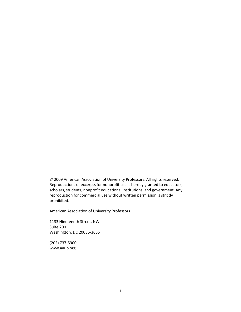2009 American Association of University Professors. All rights reserved. Reproductions of excerpts for nonprofit use is hereby granted to educators, scholars, students, nonprofit educational institutions, and government. Any reproduction for commercial use without written permission is strictly prohibited.

American Association of University Professors

1133 Nineteenth Street, NW Suite 200 Washington, DC 20036-3655

(202) 737-5900 www.aaup.org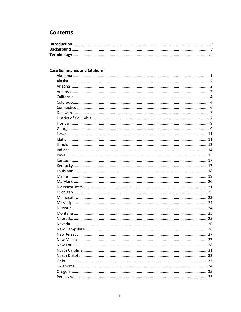# **Contents**

# **Case Summaries and Citations**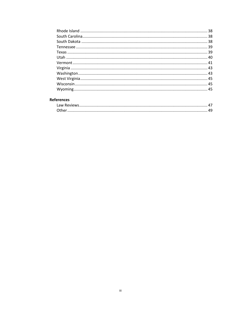# **References**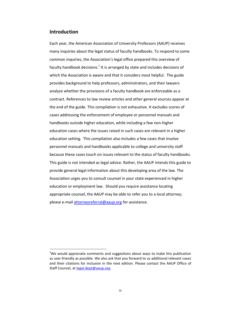# **Introduction**

 $\overline{a}$ 

Each year, the American Association of University Professors (AAUP) receives many inquiries about the legal status of faculty handbooks. To respond to some common inquiries, the Association's legal office prepared this overview of faculty handbook decisions.<sup>1</sup> It is arranged by state and includes decisions of which the Association is aware and that it considers most helpful. The guide provides background to help professors, administrators, and their lawyers analyze whether the provisions of a faculty handbook are enforceable as a contract. References to law review articles and other general sources appear at the end of the guide. This compilation is not exhaustive. It excludes scores of cases addressing the enforcement of employee or personnel manuals and handbooks outside higher education, while including a few non-higher education cases where the issues raised in such cases are relevant in a higher education setting. This compilation also includes a few cases that involve personnel manuals and handbooks applicable to college and university staff because these cases touch on issues relevant to the status of faculty handbooks. This guide is not intended as legal advice. Rather, the AAUP intends this guide to provide general legal information about this developing area of the law. The Association urges you to consult counsel in your state experienced in higher education or employment law. Should you require assistance locating appropriate counsel, the AAUP may be able to refer you to a local attorney; please e-mail [attorneyreferral@aaup.org](mailto:attorneyreferral@aaup.org) for assistance.

 $1$ We would appreciate comments and suggestions about ways to make this publication as user-friendly as possible. We also ask that you forward to us additional relevant cases and their citations for inclusion in the next edition. Please contact the AAUP Office of Staff Counsel, a[t legal.dept@aaup.org.](mailto:legal.dept@aaup.org)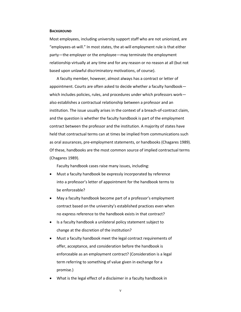#### **BACKGROUND**

Most employees, including university support staff who are not unionized, are "employees-at-will." In most states, the at-will employment rule is that either party—the employer or the employee—may terminate the employment relationship virtually at any time and for any reason or no reason at all (but not based upon unlawful discriminatory motivations, of course).

A faculty member, however, almost always has a contract or letter of appointment. Courts are often asked to decide whether a faculty handbook which includes policies, rules, and procedures under which professors work also establishes a contractual relationship between a professor and an institution. The issue usually arises in the context of a breach-of-contract claim, and the question is whether the faculty handbook is part of the employment contract between the professor and the institution. A majority of states have held that contractual terms can at times be implied from communications such as oral assurances, pre-employment statements, or handbooks (Chagares 1989). Of these, handbooks are the most common source of implied contractual terms (Chagares 1989).

Faculty handbook cases raise many issues, including:

- Must a faculty handbook be expressly incorporated by reference into a professor's letter of appointment for the handbook terms to be enforceable?
- May a faculty handbook become part of a professor's employment contract based on the university's established practices even when no express reference to the handbook exists in that contract?
- Is a faculty handbook a unilateral policy statement subject to change at the discretion of the institution?
- Must a faculty handbook meet the legal contract requirements of offer, acceptance, and consideration before the handbook is enforceable as an employment contract? (Consideration is a legal term referring to something of value given in exchange for a promise.)
- What is the legal effect of a disclaimer in a faculty handbook in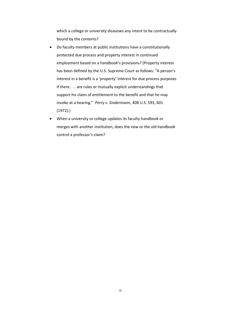which a college or university disavows any intent to be contractually bound by the contents?

- Do faculty members at public institutions have a constitutionally protected due process and property interest in continued employment based on a handbook's provisions? (Property interest has been defined by the U.S. Supreme Court as follows: "A person's interest in a benefit is a 'property' interest for due process purposes if there . . . are rules or mutually explicit understandings that support his claim of entitlement to the benefit and that he may invoke at a hearing." *Perry v. Sindermann*, 408 U.S. 593, 601 (1972).)
- When a university or college updates its faculty handbook or merges with another institution, does the new or the old handbook control a professor's claim?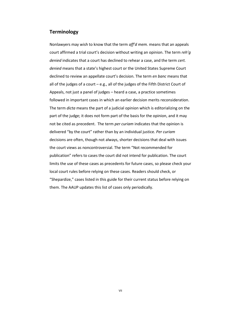# **Terminology**

Nonlawyers may wish to know that the term *aff'd mem.* means that an appeals court affirmed a trial court's decision without writing an opinion. The term *reh'g denied* indicates that a court has declined to rehear a case, and the term *cert. denied* means that a state's highest court or the United States Supreme Court declined to review an appellate court's decision. The term *en banc* means that all of the judges of a court – e.g., all of the judges of the Fifth District Court of Appeals, not just a panel of judges – heard a case, a practice sometimes followed in important cases in which an earlier decision merits reconsideration. The term *dicta* means the part of a judicial opinion which is editorializing on the part of the judge; it does not form part of the basis for the opinion, and it may not be cited as precedent. The term *per curiam* indicates that the opinion is delivered "by the court" rather than by an individual justice. *Per curiam* decisions are often, though not always, shorter decisions that deal with issues the court views as noncontroversial. The term "Not recommended for publication" refers to cases the court did not intend for publication. The court limits the use of these cases as precedents for future cases, so please check your local court rules before relying on these cases. Readers should check, or "Shepardize," cases listed in this guide for their current status before relying on them. The AAUP updates this list of cases only periodically.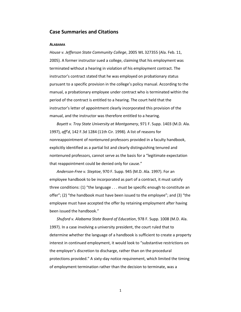# **Case Summaries and Citations**

#### **ALABAMA**

*House v. Jefferson State Community College*, 2005 WL 327355 (Ala. Feb. 11, 2005). A former instructor sued a college, claiming that his employment was terminated without a hearing in violation of his employment contract. The instructor's contract stated that he was employed on probationary status pursuant to a specific provision in the college's policy manual. According to the manual, a probationary employee under contract who is terminated within the period of the contract is entitled to a hearing. The court held that the instructor's letter of appointment clearly incorporated this provision of the manual, and the instructor was therefore entitled to a hearing.

*Boyett v. Troy State University at Montgomery*, 971 F. Supp. 1403 (M.D. Ala. 1997), *aff'd*, 142 F.3d 1284 (11th Cir. 1998). A list of reasons for nonreappointment of nontenured professors provided in a faculty handbook, explicitly identified as a partial list and clearly distinguishing tenured and nontenured professors, cannot serve as the basis for a "legitimate expectation that reappointment could be denied only for cause."

*Anderson-Free v. Steptoe*, 970 F. Supp. 945 (M.D. Ala. 1997). For an employee handbook to be incorporated as part of a contract, it must satisfy three conditions: (1) "the language . . . must be specific enough to constitute an offer"; (2) "the handbook must have been issued to the employee"; and (3) "the employee must have accepted the offer by retaining employment after having been issued the handbook."

*Shuford v. Alabama State Board of Education*, 978 F. Supp. 1008 (M.D. Ala. 1997). In a case involving a university president, the court ruled that to determine whether the language of a handbook is sufficient to create a property interest in continued employment, it would look to "substantive restrictions on the employer's discretion to discharge, rather than on the procedural protections provided." A sixty-day notice requirement, which limited the timing of employment termination rather than the decision to terminate, was a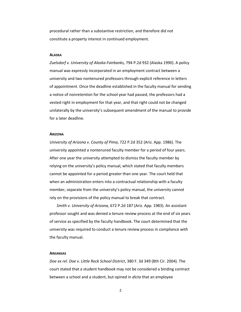procedural rather than a substantive restriction, and therefore did not constitute a property interest in continued employment.

#### **ALASKA**

*Zuelsdorf v. University of Alaska-Fairbanks,* 794 P.2d 932 (Alaska 1990). A policy manual was expressly incorporated in an employment contract between a university and two nontenured professors through explicit reference in letters of appointment. Once the deadline established in the faculty manual for sending a notice of nonretention for the school year had passed, the professors had a vested right in employment for that year, and that right could not be changed unilaterally by the university's subsequent amendment of the manual to provide for a later deadline.

#### **ARIZONA**

*University of Arizona v. County of Pima*, 722 P.2d 352 (Ariz. App. 1986). The university appointed a nontenured faculty member for a period of four years. After one year the university attempted to dismiss the faculty member by relying on the university's policy manual, which stated that faculty members cannot be appointed for a period greater than one year. The court held that when an administration enters into a contractual relationship with a faculty member, separate from the university's policy manual, the university cannot rely on the provisions of the policy manual to break that contract.

*Smith v. University of Arizona,* 672 P.2d 187 (Ariz. App. 1983). An assistant professor sought and was denied a tenure review process at the end of six years of service as specified by the faculty handbook. The court determined that the university was required to conduct a tenure review process in compliance with the faculty manual.

#### **ARKANSAS**

*Doe ex rel. Doe v. Little Rock School District*, 380 F. 3d 349 (8th Cir. 2004). The court stated that a student handbook may not be considered a binding contract between a school and a student, but opined in *dicta* that an employee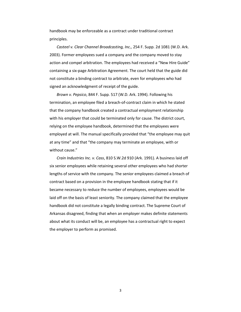handbook may be enforceable as a contract under traditional contract principles.

*Casteel v. Clear Channel Broadcasting, Inc.,* 254 F. Supp. 2d 1081 (W.D. Ark. 2003). Former employees sued a company and the company moved to stay action and compel arbitration. The employees had received a "New Hire Guide" containing a six-page Arbitration Agreement. The court held that the guide did not constitute a binding contract to arbitrate, even for employees who had signed an acknowledgment of receipt of the guide.

*Brown v. Pepsico*, 844 F. Supp. 517 (W.D. Ark. 1994). Following his termination, an employee filed a breach-of-contract claim in which he stated that the company handbook created a contractual employment relationship with his employer that could be terminated only for cause. The district court, relying on the employee handbook, determined that the employees were employed at will. The manual specifically provided that "the employee may quit at any time" and that "the company may terminate an employee, with or without cause."

*Crain Industries Inc. v. Cass*, 810 S.W.2d 910 (Ark. 1991). A business laid off six senior employees while retaining several other employees who had shorter lengths of service with the company. The senior employees claimed a breach of contract based on a provision in the employee handbook stating that if it became necessary to reduce the number of employees, employees would be laid off on the basis of least seniority. The company claimed that the employee handbook did not constitute a legally binding contract. The Supreme Court of Arkansas disagreed, finding that when an employer makes definite statements about what its conduct will be, an employee has a contractual right to expect the employer to perform as promised.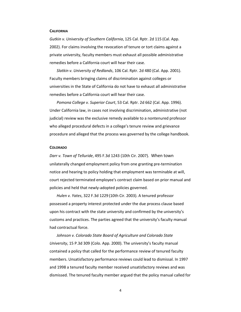#### **CALIFORNIA**

*Gutkin v. University of Southern California*, 125 Cal. Rptr. 2d 115 (Cal. App. 2002). For claims involving the revocation of tenure or tort claims against a private university, faculty members must exhaust all possible administrative remedies before a California court will hear their case.

*Slatkin v. University of Redlands*, 106 Cal. Rptr. 2d 480 (Cal. App. 2001). Faculty members bringing claims of discrimination against colleges or universities in the State of California do not have to exhaust all administrative remedies before a California court will hear their case.

*Pomona College v. Superior Court*, 53 Cal. Rptr. 2d 662 (Cal. App. 1996). Under California law, in cases not involving discrimination, administrative (not judicial) review was the exclusive remedy available to a nontenured professor who alleged procedural defects in a college's tenure review and grievance procedure and alleged that the process was governed by the college handbook.

#### **COLORADO**

*Darr v. Town of Telluride*, 495 F.3d 1243 (10th Cir. 2007). When town unilaterally changed employment policy from one granting pre-termination notice and hearing to policy holding that employment was terminable at will, court rejected terminated employee's contract claim based on prior manual and policies and held that newly-adopted policies governed.

*Hulen v. Yates*, 322 F.3d 1229 (10th Cir. 2003). A tenured professor possessed a property interest protected under the due process clause based upon his contract with the state university and confirmed by the university's customs and practices. The parties agreed that the university's faculty manual had contractual force.

*Johnson v. Colorado State Board of Agriculture and Colorado State University*, 15 P.3d 309 (Colo. App. 2000). The university's faculty manual contained a policy that called for the performance review of tenured faculty members. Unsatisfactory performance reviews could lead to dismissal. In 1997 and 1998 a tenured faculty member received unsatisfactory reviews and was dismissed. The tenured faculty member argued that the policy manual called for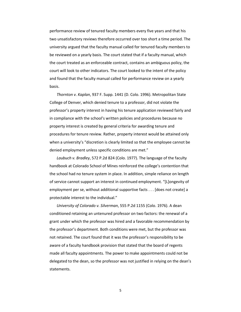performance review of tenured faculty members every five years and that his two unsatisfactory reviews therefore occurred over too short a time period. The university argued that the faculty manual called for tenured faculty members to be reviewed on a yearly basis. The court stated that if a faculty manual, which the court treated as an enforceable contract, contains an ambiguous policy, the court will look to other indicators. The court looked to the intent of the policy and found that the faculty manual called for performance review on a yearly basis.

*Thornton v. Kaplan*, 937 F. Supp. 1441 (D. Colo. 1996). Metropolitan State College of Denver, which denied tenure to a professor, did not violate the professor's property interest in having his tenure application reviewed fairly and in compliance with the school's written policies and procedures because no property interest is created by general criteria for awarding tenure and procedures for tenure review. Rather, property interest would be attained only when a university's "discretion is clearly limited so that the employee cannot be denied employment unless specific conditions are met."

*Laubuch v. Bradley*, 572 P.2d 824 (Colo. 1977). The language of the faculty handbook at Colorado School of Mines reinforced the college's contention that the school had no tenure system in place. In addition, simple reliance on length of service cannot support an interest in continued employment. "[L]ongevity of employment per se, without additional supportive facts . . . [does not create] a protectable interest to the individual."

*University of Colorado v. Silverman*, 555 P.2d 1155 (Colo. 1976). A dean conditioned retaining an untenured professor on two factors: the renewal of a grant under which the professor was hired and a favorable recommendation by the professor's department. Both conditions were met, but the professor was not retained. The court found that it was the professor's responsibility to be aware of a faculty handbook provision that stated that the board of regents made all faculty appointments. The power to make appointments could not be delegated to the dean, so the professor was not justified in relying on the dean's statements.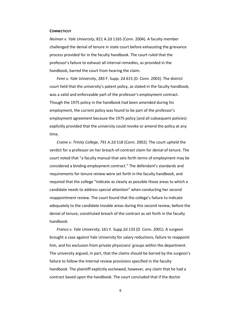#### **CONNECTICUT**

*Neiman v. Yale University*, 821 A.2d 1165 (Conn. 2004). A faculty member challenged the denial of tenure in state court before exhausting the grievance process provided for in the faculty handbook. The court ruled that the professor's failure to exhaust all internal remedies, as provided in the handbook, barred the court from hearing the claim.

*Fenn v. Yale University*, 283 F. Supp. 2d 615 (D. Conn. 2003). The district court held that the university's patent policy, as stated in the faculty handbook, was a valid and enforceable part of the professor's employment contract. Though the 1975 policy in the handbook had been amended during his employment, the current policy was found to be part of the professor's employment agreement because the 1975 policy (and all subsequent policies) explicitly provided that the university could revoke or amend the policy at any time.

*Craine v. Trinity College*, 791 A.2d 518 (Conn. 2002). The court upheld the verdict for a professor on her breach-of-contract claim for denial of tenure. The court noted that "a faculty manual that sets forth terms of employment may be considered a binding employment contract." The defendant's standards and requirements for tenure review were set forth in the faculty handbook, and required that the college "indicate as clearly as possible those areas to which a candidate needs to address special attention" when conducting her second reappointment review. The court found that the college's failure to indicate adequately to the candidate trouble areas during this second review, before the denial of tenure, constituted breach of the contract as set forth in the faculty handbook.

*Franco v. Yale University*, 161 F. Supp.2d 133 (D. Conn. 2001). A surgeon brought a case against Yale University for salary reductions, failure to reappoint him, and his exclusion from private physicians' groups within the department. The university argued, in part, that the claims should be barred by the surgeon's failure to follow the internal review provisions specified in the faculty handbook. The plaintiff explicitly eschewed, however, any claim that he had a contract based upon the handbook. The court concluded that if the doctor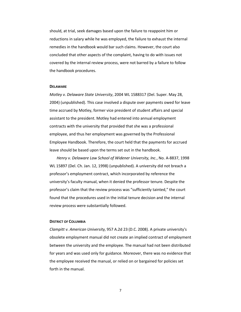should, at trial, seek damages based upon the failure to reappoint him or reductions in salary while he was employed, the failure to exhaust the internal remedies in the handbook would bar such claims. However, the court also concluded that other aspects of the complaint, having to do with issues not covered by the internal review process, were not barred by a failure to follow the handbook procedures.

#### **DELAWARE**

*Motley v. Delaware State University*, 2004 WL 1588317 (Del. Super. May 28, 2004) (unpublished). This case involved a dispute over payments owed for leave time accrued by Motley, former vice president of student affairs and special assistant to the president. Motley had entered into annual employment contracts with the university that provided that she was a professional employee, and thus her employment was governed by the Professional Employee Handbook. Therefore, the court held that the payments for accrued leave should be based upon the terms set out in the handbook.

*Henry v. Delaware Law School of Widener University, Inc.*, No. A-8837, 1998 WL 15897 (Del. Ch. Jan. 12, 1998) (unpublished). A university did not breach a professor's employment contract, which incorporated by reference the university's faculty manual, when it denied the professor tenure. Despite the professor's claim that the review process was "sufficiently tainted," the court found that the procedures used in the initial tenure decision and the internal review process were substantially followed.

#### **DISTRICT OF COLUMBIA**

*Clampitt v. American University,* 957 A.2d 23 (D.C. 2008). A private university's obsolete employment manual did not create an implied contract of employment between the university and the employee. The manual had not been distributed for years and was used only for guidance. Moreover, there was no evidence that the employee received the manual, or relied on or bargained for policies set forth in the manual.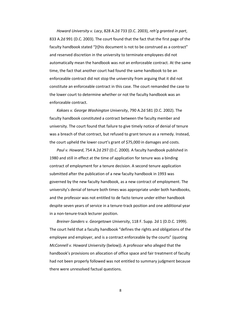*Howard University v. Lacy*, 828 A.2d 733 (D.C. 2003), *reh'g granted in part*, 833 A.2d 991 (D.C. 2003). The court found that the fact that the first page of the faculty handbook stated "[t]his document is not to be construed as a contract" and reserved discretion in the university to terminate employees did not automatically mean the handbook was *not* an enforceable contract. At the same time, the fact that another court had found the same handbook to be an enforceable contract did not stop the university from arguing that it did not constitute an enforceable contract in this case. The court remanded the case to the lower court to determine whether or not the faculty handbook was an enforceable contract.

*Kakaes v. George Washington University*, 790 A.2d 581 (D.C. 2002). The faculty handbook constituted a contract between the faculty member and university. The court found that failure to give timely notice of denial of tenure was a breach of that contract, but refused to grant tenure as a remedy. Instead, the court upheld the lower court's grant of \$75,000 in damages and costs.

*Paul v. Howard*, 754 A.2d 297 (D.C. 2000). A faculty handbook published in 1980 and still in effect at the time of application for tenure was a binding contract of employment for a tenure decision. A second tenure application submitted after the publication of a new faculty handbook in 1993 was governed by the new faculty handbook, as a new contract of employment. The university's denial of tenure both times was appropriate under both handbooks, and the professor was not entitled to de facto tenure under either handbook despite seven years of service in a tenure-track position and one additional year in a non-tenure-track lecturer position.

*Breiner-Sanders v. Georgetown University*, 118 F. Supp. 2d 1 (D.D.C. 1999). The court held that a faculty handbook "defines the rights and obligations of the employee and employer, and is a contract enforceable by the courts" (quoting *McConnell v. Howard University* (below)). A professor who alleged that the handbook's provisions on allocation of office space and fair treatment of faculty had not been properly followed was not entitled to summary judgment because there were unresolved factual questions.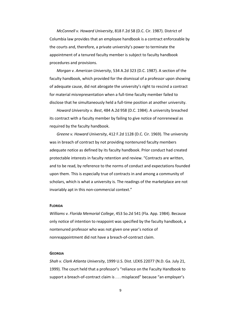*McConnell v. Howard University*, 818 F.2d 58 (D.C. Cir. 1987). District of Columbia law provides that an employee handbook is a contract enforceable by the courts and, therefore, a private university's power to terminate the appointment of a tenured faculty member is subject to faculty handbook procedures and provisions.

*Morgan v. American University*, 534 A.2d 323 (D.C. 1987). A section of the faculty handbook, which provided for the dismissal of a professor upon showing of adequate cause, did not abrogate the university's right to rescind a contract for material misrepresentation when a full-time faculty member failed to disclose that he simultaneously held a full-time position at another university.

*Howard University v. Best*, 484 A.2d 958 (D.C. 1984). A university breached its contract with a faculty member by failing to give notice of nonrenewal as required by the faculty handbook.

*Greene v. Howard University*, 412 F.2d 1128 (D.C. Cir. 1969). The university was in breach of contract by not providing nontenured faculty members adequate notice as defined by its faculty handbook. Prior conduct had created protectable interests in faculty retention and review. "Contracts are written, and to be read, by reference to the norms of conduct and expectations founded upon them. This is especially true of contracts in and among a community of scholars, which is what a university is. The readings of the marketplace are not invariably apt in this non-commercial context."

#### **FLORIDA**

*Williams v. Florida Memorial College*, 453 So.2d 541 (Fla. App. 1984). Because only notice of intention to reappoint was specified by the faculty handbook, a nontenured professor who was not given one year's notice of nonreappointment did not have a breach-of-contract claim.

#### **GEORGIA**

*Shah v. Clark Atlanta University*, 1999 U.S. Dist. LEXIS 22077 (N.D. Ga. July 21, 1999). The court held that a professor's "reliance on the Faculty Handbook to support a breach-of-contract claim is . . . misplaced" because "an employer's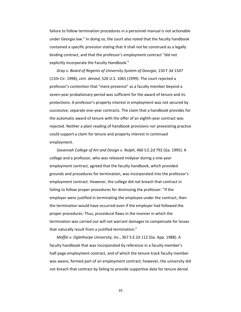failure to follow termination procedures in a personnel manual is not actionable under Georgia law." In doing so, the court also noted that the faculty handbook contained a specific provision stating that it shall not be construed as a legally binding contract, and that the professor's employment contract "did not explicitly incorporate the Faculty Handbook."

*Gray v. Board of Regents of University System of Georgia*, 150 F.3d 1347 (11th Cir. 1998), *cert. denied*, 526 U.S. 1065 (1999). The court rejected a professor's contention that "mere presence" as a faculty member beyond a seven-year probationary period was sufficient for the award of tenure and its protections. A professor's property interest in employment was not secured by successive, separate one-year contracts. The claim that a handbook provides for the automatic award of tenure with the offer of an eighth-year contract was rejected. Neither a plain reading of handbook provisions nor preexisting practice could support a claim for tenure and property interest in continued employment.

*Savannah College of Art and Design v. Nulph*, 460 S.E.2d 792 (Ga. 1995). A college and a professor, who was released midyear during a one-year employment contract, agreed that the faculty handbook, which provided grounds and procedures for termination, was incorporated into the professor's employment contract. However, the college did not breach that contract in failing to follow proper procedures for dismissing the professor: "If the employer were justified in terminating the employee under the contract, then the termination would have occurred even if the employer had followed the proper procedures. Thus, procedural flaws in the manner in which the termination was carried out will not warrant damages to compensate for losses that naturally result from a justified termination."

*Moffie v. Oglethorpe University, Inc*., 367 S.E.2d 112 (Ga. App. 1988). A faculty handbook that was incorporated by reference in a faculty member's half-page employment contract, and of which the tenure-track faculty member was aware, formed part of an employment contract; however, the university did not breach that contract by failing to provide supportive data for tenure denial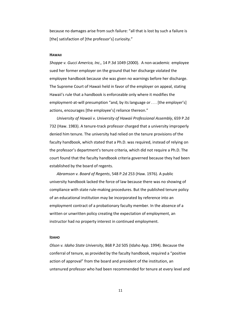because no damages arise from such failure: "all that is lost by such a failure is [the] satisfaction of [the professor's] curiosity."

#### **HAWAII**

*Shoppe v. Gucci America, Inc.,* 14 P.3d 1049 (2000).A non-academic employee sued her former employer on the ground that her discharge violated the employee handbook because she was given no warnings before her discharge. The Supreme Court of Hawaii held in favor of the employer on appeal, stating Hawaii's rule that a handbook is enforceable only where it modifies the employment-at-will presumption "and, by its language or . . . [the employer's] actions, encourages [the employee's] reliance thereon."

*University of Hawaii v. University of Hawaii Professional Assembly*, 659 P.2d 732 (Haw. 1983). A tenure-track professor charged that a university improperly denied him tenure. The university had relied on the tenure provisions of the faculty handbook, which stated that a Ph.D. was required, instead of relying on the professor's department's tenure criteria, which did not require a Ph.D. The court found that the faculty handbook criteria governed because they had been established by the board of regents.

*Abramson v. Board of Regents*, 548 P.2d 253 (Haw. 1976). A public university handbook lacked the force of law because there was no showing of compliance with state rule-making procedures. But the published tenure policy of an educational institution may be incorporated by reference into an employment contract of a probationary faculty member. In the absence of a written or unwritten policy creating the expectation of employment, an instructor had no property interest in continued employment.

#### **IDAHO**

*Olson v. Idaho State University*, 868 P.2d 505 (Idaho App. 1994). Because the conferral of tenure, as provided by the faculty handbook, required a "positive action of approval" from the board and president of the institution, an untenured professor who had been recommended for tenure at every level and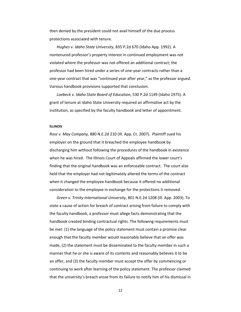then denied by the president could not avail himself of the due process protections associated with tenure.

*Hughes v. Idaho State University*, 835 P.2d 670 (Idaho App. 1992). A nontenured professor's property interest in continued employment was not violated where the professor was not offered an additional contract; the professor had been hired under a series of one-year contracts rather than a one-year contract that was "continued year after year," as the professor argued. Various handbook provisions supported that conclusion.

*Loebeck v. Idaho State Board of Education*, 530 P.2d 1149 (Idaho 1975). A grant of tenure at Idaho State University required an affirmative act by the institution, as specified by the faculty handbook and letter of appointment.

#### **ILLINOIS**

*Ross v. May Company,* 880 N.E.2d 210 (Ill. App. Ct. 2007). Plaintiff sued his employer on the ground that it breached the employee handbook by discharging him without following the procedures of the handbook in existence when he was hired. The Illinois Court of Appeals affirmed the lower court's finding that the original handbook was an enforceable contract. The court also held that the employer had not legitimately altered the terms of the contract when it changed the employee handbook because it offered no additional consideration to the employee in exchange for the protections it removed.

*Green v. Trinity International University*, 801 N.E.2d 1208 (Ill. App. 2003). To state a cause of action for breach of contract arising from failure to comply with the faculty handbook, a professor must allege facts demonstrating that the handbook created binding contractual rights. The following requirements must be met: (1) the language of the policy statement must contain a promise clear enough that the faculty member would reasonably believe that an offer was made, (2) the statement must be disseminated to the faculty member in such a manner that he or she is aware of its contents and reasonably believes it to be an offer, and (3) the faculty member must accept the offer by commencing or continuing to work after learning of the policy statement. The professor claimed that the university's breach arose from its failure to notify him of his dismissal in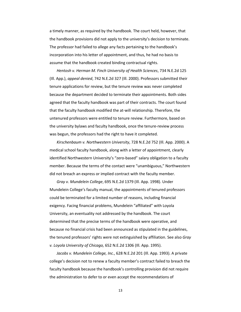a timely manner, as required by the handbook. The court held, however, that the handbook provisions did not apply to the university's decision to terminate. The professor had failed to allege any facts pertaining to the handbook's incorporation into his letter of appointment, and thus, he had no basis to assume that the handbook created binding contractual rights.

*Hentosh v. Herman M. Finch University of Health Sciences*, 734 N.E.2d 125 (Ill. App.), *appeal denied*, 742 N.E.2d 327 (Ill. 2000). Professors submitted their tenure applications for review, but the tenure review was never completed because the department decided to terminate their appointments. Both sides agreed that the faculty handbook was part of their contracts. The court found that the faculty handbook modified the at-will relationship. Therefore, the untenured professors were entitled to tenure review. Furthermore, based on the university bylaws and faculty handbook, once the tenure-review process was begun, the professors had the right to have it completed.

*Kirschenbaum v. Northwestern University*, 728 N.E.2d 752 (Ill. App. 2000). A medical school faculty handbook, along with a letter of appointment, clearly identified Northwestern University's "zero-based" salary obligation to a faculty member. Because the terms of the contact were "unambiguous," Northwestern did not breach an express or implied contract with the faculty member.

*Gray v. Mundelein College*, 695 N.E.2d 1379 (Ill. App. 1998). Under Mundelein College's faculty manual, the appointments of tenured professors could be terminated for a limited number of reasons, including financial exigency. Facing financial problems, Mundelein "affiliated" with Loyola University, an eventuality not addressed by the handbook. The court determined that the precise terms of the handbook were operative, and because no financial crisis had been announced as stipulated in the guidelines, the tenured professors' rights were not extinguished by affiliation. See also *Gray v. Loyola University of Chicago,* 652 N.E.2d 1306 (Ill. App. 1995).

*Jacobs v. Mundelein College, Inc.*, 628 N.E.2d 201 (Ill. App. 1993). A private college's decision not to renew a faculty member's contract failed to breach the faculty handbook because the handbook's controlling provision did not require the administration to defer to or even accept the recommendations of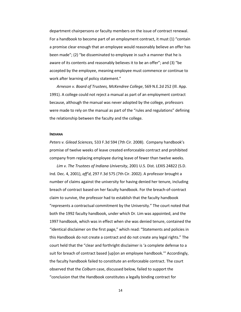department chairpersons or faculty members on the issue of contract renewal. For a handbook to become part of an employment contract, it must (1) "contain a promise clear enough that an employee would reasonably believe an offer has been made"; (2) "be disseminated to employee in such a manner that he is aware of its contents and reasonably believes it to be an offer"; and (3) "be accepted by the employee, meaning employee must commence or continue to work after learning of policy statement."

*Arneson v. Board of Trustees, McKendree College*, 569 N.E.2d 252 (Ill. App. 1991). A college could not reject a manual as part of an employment contract because, although the manual was never adopted by the college, professors were made to rely on the manual as part of the "rules and regulations" defining the relationship between the faculty and the college.

#### **INDIANA**

*Peters v. Gilead Sciences,* 533 F.3d 594 (7th Cir. 2008). Company handbook's promise of twelve weeks of leave created enforceable contract and prohibited company from replacing employee during leave of fewer than twelve weeks*.* 

*Lim v. The Trustees of Indiana University*, 2001 U.S. Dist. LEXIS 24822 (S.D. Ind. Dec. 4, 2001), *aff'd*, 297 F.3d 575 (7th Cir. 2002). A professor brought a number of claims against the university for having denied her tenure, including breach of contract based on her faculty handbook. For the breach-of-contract claim to survive, the professor had to establish that the faculty handbook "represents a contractual commitment by the University." The court noted that both the 1992 faculty handbook, under which Dr. Lim was appointed, and the 1997 handbook, which was in effect when she was denied tenure, contained the "identical disclaimer on the first page," which read: "Statements and policies in this Handbook do not create a contract and do not create any legal rights." The court held that the "clear and forthright disclaimer is 'a complete defense to a suit for breach of contract based [up]on an employee handbook.'" Accordingly, the faculty handbook failed to constitute an enforceable contract. The court observed that the *Colburn* case, discussed below, failed to support the "conclusion that the Handbook constitutes a legally binding contract for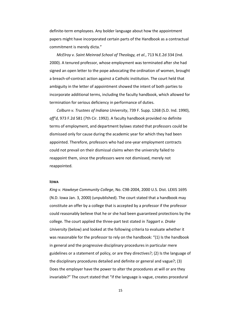definite-term employees. Any bolder language about how the appointment papers might have incorporated certain parts of the Handbook as a contractual commitment is merely dicta."

*McElroy v. Saint Meinrad School of Theology, et al.*, 713 N.E.2d 334 (Ind. 2000). A tenured professor, whose employment was terminated after she had signed an open letter to the pope advocating the ordination of women, brought a breach-of-contract action against a Catholic institution. The court held that ambiguity in the letter of appointment showed the intent of both parties to incorporate additional terms, including the faculty handbook, which allowed for termination for serious deficiency in performance of duties.

*Colburn v. Trustees of Indiana University*, 739 F. Supp. 1268 (S.D. Ind. 1990), *aff'd*, 973 F.2d 581 (7th Cir. 1992). A faculty handbook provided no definite terms of employment, and department bylaws stated that professors could be dismissed only for cause during the academic year for which they had been appointed. Therefore, professors who had one-year employment contracts could not prevail on their dismissal claims when the university failed to reappoint them, since the professors were not dismissed, merely not reappointed.

#### **IOWA**

*King v. Hawkeye Community College*, No. C98-2004, 2000 U.S. Dist. LEXIS 1695 (N.D. Iowa Jan. 3, 2000) (unpublished). The court stated that a handbook may constitute an offer by a college that is accepted by a professor if the professor could reasonably believe that he or she had been guaranteed protections by the college. The court applied the three-part test stated in *Taggart v. Drake University* (below) and looked at the following criteria to evaluate whether it was reasonable for the professor to rely on the handbook: "(1) Is the handbook in general and the progressive disciplinary procedures in particular mere guidelines or a statement of policy, or are they directives?; (2) Is the language of the disciplinary procedures detailed and definite or general and vague?; (3) Does the employer have the power to alter the procedures at will or are they invariable?" The court stated that "if the language is vague, creates procedural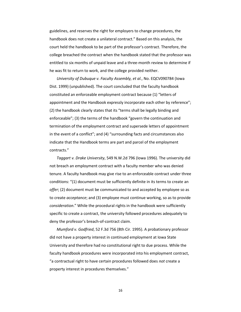guidelines, and reserves the right for employers to change procedures, the handbook does not create a unilateral contract." Based on this analysis, the court held the handbook to be part of the professor's contract. Therefore, the college breached the contract when the handbook stated that the professor was entitled to six months of unpaid leave and a three-month review to determine if he was fit to return to work, and the college provided neither.

*University of Dubuque v. Faculty Assembly, et al.*, No. EQCV090784 (Iowa Dist. 1999) (unpublished). The court concluded that the faculty handbook constituted an enforceable employment contract because (1) "letters of appointment and the Handbook expressly incorporate each other by reference"; (2) the handbook clearly states that its "terms shall be legally binding and enforceable"; (3) the terms of the handbook "govern the continuation and termination of the employment contract and supersede letters of appointment in the event of a conflict"; and (4) "surrounding facts and circumstances also indicate that the Handbook terms are part and parcel of the employment contracts."

*Taggart v. Drake University*, 549 N.W.2d 796 (Iowa 1996). The university did not breach an employment contract with a faculty member who was denied tenure. A faculty handbook may give rise to an enforceable contract under three conditions: "(1) document must be sufficiently definite in its terms to create an *offer*; (2) document must be communicated to and accepted by employee so as to create *acceptance*; and (3) employee must continue working, so as to provide *consideration*." While the procedural rights in the handbook were sufficiently specific to create a contract, the university followed procedures adequately to deny the professor's breach-of-contract claim.

*Mumford v. Godfried*, 52 F.3d 756 (8th Cir. 1995). A probationary professor did not have a property interest in continued employment at Iowa State University and therefore had no constitutional right to due process. While the faculty handbook procedures were incorporated into his employment contract, "a contractual right to have certain procedures followed does *not* create a property interest in procedures themselves."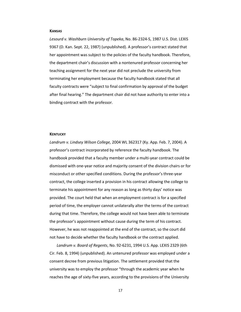#### **KANSAS**

*Lesourd v. Washburn University of Topeka*, No. 86-2324-S, 1987 U.S. Dist. LEXIS 9367 (D. Kan. Sept. 22, 1987) (unpublished). A professor's contract stated that her appointment was subject to the policies of the faculty handbook. Therefore, the department chair's discussion with a nontenured professor concerning her teaching assignment for the next year did not preclude the university from terminating her employment because the faculty handbook stated that all faculty contracts were "subject to final confirmation by approval of the budget after final hearing." The department chair did not have authority to enter into a binding contract with the professor.

#### **KENTUCKY**

*Landrum v. Lindsey Wilson College,* 2004 WL 362317 (Ky. App. Feb. 7, 2004). A professor's contract incorporated by reference the faculty handbook. The handbook provided that a faculty member under a multi-year contract could be dismissed with one-year notice and majority consent of the division chairs or for misconduct or other specified conditions. During the professor's three-year contract, the college inserted a provision in his contract allowing the college to terminate his appointment for any reason as long as thirty days' notice was provided. The court held that when an employment contract is for a specified period of time, the employer cannot unilaterally alter the terms of the contract during that time. Therefore, the college would not have been able to terminate the professor's appointment without cause during the term of his contract. However, he was not reappointed at the end of the contract, so the court did not have to decide whether the faculty handbook or the contract applied.

*Landrum v. Board of Regents*, No. 92-6231, 1994 U.S. App. LEXIS 2329 (6th Cir. Feb. 8, 1994) (unpublished). An untenured professor was employed under a consent decree from previous litigation. The settlement provided that the university was to employ the professor "through the academic year when he reaches the age of sixty-five years, according to the provisions of the University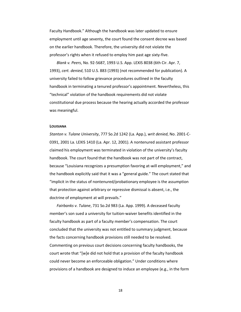Faculty Handbook." Although the handbook was later updated to ensure employment until age seventy, the court found the consent decree was based on the earlier handbook. Therefore, the university did not violate the professor's rights when it refused to employ him past age sixty-five.

*Blank v. Peers*, No. 92-5687, 1993 U.S. App. LEXIS 8038 (6th Cir. Apr. 7, 1993), *cert. denied*, 510 U.S. 883 (1993) (not recommended for publication). A university failed to follow grievance procedures outlined in the faculty handbook in terminating a tenured professor's appointment. Nevertheless, this "technical" violation of the handbook requirements did not violate constitutional due process because the hearing actually accorded the professor was meaningful.

#### **LOUISIANA**

*Stanton v. Tulane University*, 777 So.2d 1242 (La. App.), *writ denied*, No. 2001-C-0391, 2001 La. LEXIS 1410 (La. Apr. 12, 2001). A nontenured assistant professor claimed his employment was terminated in violation of the university's faculty handbook. The court found that the handbook was not part of the contract, because "Louisiana recognizes a presumption favoring at-will employment," and the handbook explicitly said that it was a "general guide." The court stated that "implicit in the status of nontenured/probationary employee is the assumption that protection against arbitrary or repressive dismissal is absent, i.e., the doctrine of employment at will prevails."

*Fairbanks v. Tulane*, 731 So.2d 983 (La. App. 1999). A deceased faculty member's son sued a university for tuition-waiver benefits identified in the faculty handbook as part of a faculty member's compensation. The court concluded that the university was not entitled to summary judgment, because the facts concerning handbook provisions still needed to be resolved. Commenting on previous court decisions concerning faculty handbooks, the court wrote that "[w]e did not hold that a provision of the faculty handbook could never become an enforceable obligation." Under conditions where provisions of a handbook are designed to induce an employee (e.g., in the form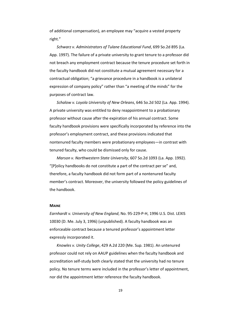of additional compensation), an employee may "acquire a vested property right."

*Schwarz v. Administrators of Tulane Educational Fund*, 699 So.2d 895 (La. App. 1997). The failure of a private university to grant tenure to a professor did not breach any employment contract because the tenure procedure set forth in the faculty handbook did not constitute a mutual agreement necessary for a contractual obligation; "a grievance procedure in a handbook is a unilateral expression of company policy" rather than "a meeting of the minds" for the purposes of contract law.

*Schalow v. Loyola University of New Orleans*, 646 So.2d 502 (La. App. 1994). A private university was entitled to deny reappointment to a probationary professor without cause after the expiration of his annual contract. Some faculty handbook provisions were specifically incorporated by reference into the professor's employment contract, and these provisions indicated that nontenured faculty members were probationary employees—in contrast with tenured faculty, who could be dismissed only for cause.

*Marson v. Northwestern State University*, 607 So.2d 1093 (La. App. 1992). "[P]olicy handbooks do not constitute a part of the contract per se" and, therefore, a faculty handbook did not form part of a nontenured faculty member's contract. Moreover, the university followed the policy guidelines of the handbook.

#### **MAINE**

*Earnhardt v. University of New England*, No. 95-229-P-H, 1996 U.S. Dist. LEXIS 10030 (D. Me. July 3, 1996) (unpublished). A faculty handbook was an enforceable contract because a tenured professor's appointment letter expressly incorporated it.

*Knowles v. Unity College*, 429 A.2d 220 (Me. Sup. 1981). An untenured professor could not rely on AAUP guidelines when the faculty handbook and accreditation self-study both clearly stated that the university had no tenure policy. No tenure terms were included in the professor's letter of appointment, nor did the appointment letter reference the faculty handbook.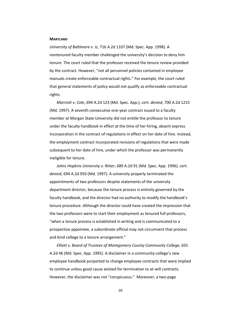#### **MARYLAND**

*University of Baltimore v. Iz*, 716 A.2d 1107 (Md. Spec. App. 1998). A nontenured faculty member challenged the university's decision to deny him tenure. The court ruled that the professor received the tenure review provided by the contract. However, "not all personnel policies contained in employee manuals create enforceable contractual rights." For example, the court ruled that general statements of policy would not qualify as enforceable contractual rights.

*Marriott v. Cole*, 694 A.2d 123 (Md. Spec. App.), *cert. denied*, 700 A.2d 1215 (Md. 1997). A seventh consecutive one-year contract issued to a faculty member at Morgan State University did not entitle the professor to tenure under the faculty handbook in effect at the time of her hiring, absent express incorporation in the contract of regulations in effect on her date of hire. Instead, the employment contract incorporated revisions of regulations that were made subsequent to her date of hire, under which the professor was permanently ineligible for tenure.

*Johns Hopkins University v. Ritter*, 689 A.2d 91 (Md. Spec. App. 1996), *cert. denied*, 694 A.2d 950 (Md. 1997). A university properly terminated the appointments of two professors despite statements of the university department director, because the tenure process is entirely governed by the faculty handbook, and the director had no authority to modify the handbook's tenure procedure. Although the director could have created the impression that the two professors were to start their employment as tenured full professors, "when a tenure process is established in writing and is communicated to a prospective appointee, a subordinate official may not circumvent that process and bind college to a tenure arrangement."

*Elliott v. Board of Trustees of Montgomery County Community College*, 655 A.2d 46 (Md. Spec. App. 1995). A disclaimer in a community college's new employee handbook purported to change employee contracts that were implied to continue unless good cause existed for termination to at-will contracts. However, the disclaimer was not "conspicuous." Moreover, a two-page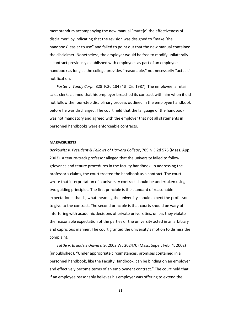memorandum accompanying the new manual "mute[d] the effectiveness of disclaimer" by indicating that the revision was designed to "make [the handbook] easier to use" and failed to point out that the new manual contained the disclaimer. Nonetheless, the employer would be free to modify unilaterally a contract previously established with employees as part of an employee handbook as long as the college provides "reasonable," not necessarily "actual," notification.

*Foster v. Tandy Corp.*, 828 F.2d 184 (4th Cir. 1987). The employee, a retail sales clerk, claimed that his employer breached its contract with him when it did not follow the four-step disciplinary process outlined in the employee handbook before he was discharged. The court held that the language of the handbook was not mandatory and agreed with the employer that not all statements in personnel handbooks were enforceable contracts.

#### **MASSACHUSETTS**

*Berkowitz v. President & Fellows of Harvard College*, 789 N.E.2d 575 (Mass. App. 2003). A tenure-track professor alleged that the university failed to follow grievance and tenure procedures in the faculty handbook. In addressing the professor's claims, the court treated the handbook as a contract. The court wrote that interpretation of a university contract should be undertaken using two guiding principles. The first principle is the standard of reasonable expectation – that is, what meaning the university should expect the professor to give to the contract. The second principle is that courts should be wary of interfering with academic decisions of private universities, unless they violate the reasonable expectation of the parties or the university acted in an arbitrary and capricious manner. The court granted the university's motion to dismiss the complaint.

*Tuttle v. Brandeis University*, 2002 WL 202470 (Mass. Super. Feb. 4, 2002) (unpublished). "Under appropriate circumstances, promises contained in a personnel handbook, like the Faculty Handbook, can be binding on an employer and effectively become terms of an employment contract." The court held that if an employee reasonably believes his employer was offering to extend the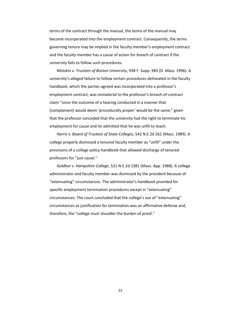terms of the contract through the manual, the terms of the manual may become incorporated into the employment contract. Consequently, the terms governing tenure may be implied in the faculty member's employment contract and the faculty member has a cause of action for breach of contract if the university fails to follow such procedures.

*Motzkin v. Trustees of Boston University*, 938 F. Supp. 983 (D. Mass. 1996). A university's alleged failure to follow certain procedures delineated in the faculty handbook, which the parties agreed was incorporated into a professor's employment contract, was immaterial to the professor's breach-of-contract claim "since the outcome of a hearing conducted in a manner that [complainant] would deem 'procedurally proper' would be the same," given that the professor conceded that the university had the right to terminate his employment for cause and he admitted that he was unfit to teach.

*Harris v. Board of Trustees of State Colleges*, 542 N.E.2d 261 (Mass. 1989). A college properly dismissed a tenured faculty member as "unfit" under the provisions of a college policy handbook that allowed discharge of tenured professors for "just cause."

*Goldhor v. Hampshire College*, 521 N.E.2d 1381 (Mass. App. 1988). A college administrator and faculty member was dismissed by the president because of "extenuating" circumstances. The administrator's handbook provided for specific employment termination procedures except in "extenuating" circumstances. The court concluded that the college's use of "extenuating" circumstances as justification for termination was an affirmative defense and, therefore, the "college must shoulder the burden of proof."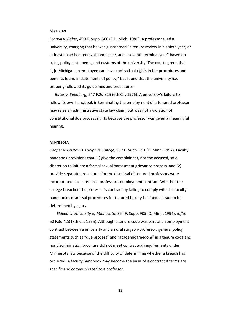#### **MICHIGAN**

*Marwil v. Baker*, 499 F. Supp. 560 (E.D. Mich. 1980). A professor sued a university, charging that he was guaranteed "a tenure review in his sixth year, or at least an ad hoc renewal committee, and a seventh terminal year" based on rules, policy statements, and customs of the university. The court agreed that "[i]n Michigan an employee can have contractual rights in the procedures and benefits found in statements of policy," but found that the university had properly followed its guidelines and procedures.

*Bates v. Sponberg*, 547 F.2d 325 (6th Cir. 1976). A university's failure to follow its own handbook in terminating the employment of a tenured professor may raise an administrative state law claim, but was not a violation of constitutional due process rights because the professor was given a meaningful hearing.

#### **MINNESOTA**

*Cooper v. Gustavus Adolphus College*, 957 F. Supp. 191 (D. Minn. 1997). Faculty handbook provisions that (1) give the complainant, not the accused, sole discretion to initiate a formal sexual harassment grievance process, and (2) provide separate procedures for the dismissal of tenured professors were incorporated into a tenured professor's employment contract. Whether the college breached the professor's contract by failing to comply with the faculty handbook's dismissal procedures for tenured faculty is a factual issue to be determined by a jury.

*Eldeeb v. University of Minnesota,* 864 F. Supp. 905 (D. Minn. 1994), *aff'd*, 60 F.3d 423 (8th Cir. 1995). Although a tenure code was part of an employment contract between a university and an oral surgeon-professor, general policy statements such as "due process" and "academic freedom" in a tenure code and nondiscrimination brochure did not meet contractual requirements under Minnesota law because of the difficulty of determining whether a breach has occurred. A faculty handbook may become the basis of a contract if terms are specific and communicated to a professor.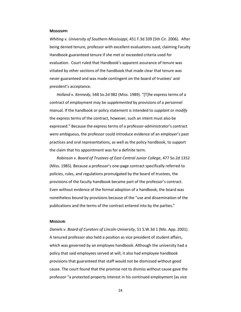#### **MISSISSIPPI**

*Whiting v. University of Southern Mississippi*, 451 F.3d 339 (5th Cir. 2006). After being denied tenure, professor with excellent evaluations sued, claiming Faculty Handbook guaranteed tenure if she met or exceeded criteria used for evaluation. Court ruled that Handbook's apparent assurance of tenure was vitiated by other sections of the handbook that made clear that tenure was never guaranteed and was made contingent on the board of trustees' and president's acceptance.

*Holland v. Kennedy*, 548 So.2d 982 (Miss. 1989). "[T]he express terms of a contract of employment may be *supplemented* by provisions of a personnel manual. If the handbook or policy statement is intended to *supplant* or *modify* the express terms of the contract, however, such an intent must also be expressed." Because the express terms of a professor-administrator's contract were ambiguous, the professor could introduce evidence of an employer's past practices and oral representations, as well as the policy handbook, to support the claim that his appointment was for a definite term.

*Robinson v. Board of Trustees of East Central Junior College*, 477 So.2d 1352 (Miss. 1985). Because a professor's one-page contract specifically referred to policies, rules, and regulations promulgated by the board of trustees, the provisions of the faculty handbook became part of the professor's contract. Even without evidence of the formal adoption of a handbook, the board was nonetheless bound by provisions because of the "use and dissemination of the publications and the terms of the contract entered into by the parties."

#### **MISSOURI**

*Daniels v. Board of Curators of Lincoln University*, 51 S.W.3d 1 (Mo. App. 2001). A tenured professor also held a position as vice president of student affairs, which was governed by an employee handbook. Although the university had a policy that said employees served at will, it also had employee handbook provisions that guaranteed that staff would not be dismissed without good cause. The court found that the promise not to dismiss without cause gave the professor "a protected property interest in his continued employment [as vice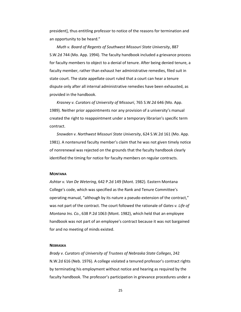president], thus entitling professor to notice of the reasons for termination and an opportunity to be heard."

*Muth v. Board of Regents of Southwest Missouri State University*, 887 S.W.2d 744 (Mo. App. 1994). The faculty handbook included a grievance process for faculty members to object to a denial of tenure. After being denied tenure, a faculty member, rather than exhaust her administrative remedies, filed suit in state court. The state appellate court ruled that a court can hear a tenure dispute only after all internal administrative remedies have been exhausted, as provided in the handbook.

*Krasney v. Curators of University of Missouri*, 765 S.W.2d 646 (Mo. App. 1989). Neither prior appointments nor any provision of a university's manual created the right to reappointment under a temporary librarian's specific term contract.

*Snowden v. Northwest Missouri State University*, 624 S.W.2d 161 (Mo. App. 1981). A nontenured faculty member's claim that he was not given timely notice of nonrenewal was rejected on the grounds that the faculty handbook clearly identified the timing for notice for faculty members on regular contracts.

#### **MONTANA**

*Ashtar v. Van De Wetering*, 642 P.2d 149 (Mont. 1982). Eastern Montana College's code, which was specified as the Rank and Tenure Committee's operating manual, "although by its nature a pseudo-extension of the contract," was not part of the contract. The court followed the rationale of *Gates v. Life of Montana Ins. Co.*, 638 P.2d 1063 (Mont. 1982), which held that an employee handbook was not part of an employee's contract because it was not bargained for and no meeting of minds existed.

#### **NEBRASKA**

*Brady v. Curators of University of Trustees of Nebraska State Colleges*, 242 N.W.2d 616 (Neb. 1976). A college violated a tenured professor's contract rights by terminating his employment without notice and hearing as required by the faculty handbook. The professor's participation in grievance procedures under a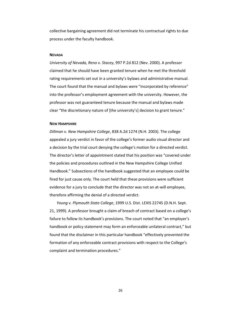collective bargaining agreement did not terminate his contractual rights to due process under the faculty handbook.

#### **NEVADA**

*University of Nevada, Reno v. Stacey*, 997 P.2d 812 (Nev. 2000). A professor claimed that he should have been granted tenure when he met the threshold rating requirements set out in a university's bylaws and administrative manual. The court found that the manual and bylaws were "incorporated by reference" into the professor's employment agreement with the university. However, the professor was not guaranteed tenure because the manual and bylaws made clear "the discretionary nature of [the university's] decision to grant tenure."

#### **NEW HAMPSHIRE**

*Dillman v. New Hampshire College*, 838 A.2d 1274 (N.H. 2003). The college appealed a jury verdict in favor of the college's former audio visual director and a decision by the trial court denying the college's motion for a directed verdict. The director's letter of appointment stated that his position was "covered under the policies and procedures outlined in the New Hampshire College Unified Handbook." Subsections of the handbook suggested that an employee could be fired for just cause only. The court held that these provisions were sufficient evidence for a jury to conclude that the director was not an at-will employee, therefore affirming the denial of a directed verdict.

*Young v. Plymouth State College*, 1999 U.S. Dist. LEXIS 22745 (D.N.H. Sept. 21, 1999). A professor brought a claim of breach of contract based on a college's failure to follow its handbook's provisions. The court noted that "an employer's handbook or policy statement may form an enforceable unilateral contract," but found that the disclaimer in this particular handbook "effectively prevented the formation of any enforceable contract provisions with respect to the College's complaint and termination procedures."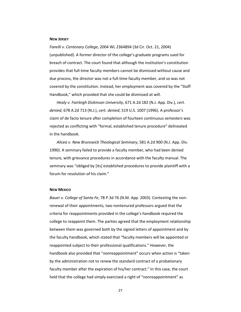#### **NEW JERSEY**

*Fanelli v. Centenary College*, 2004 WL 2364894 (3d Cir. Oct. 21, 2004) (unpublished). A former director of the college's graduate programs sued for breach of contract. The court found that although the institution's constitution provides that full-time faculty members cannot be dismissed without cause and due process, the director was not a full-time faculty member, and so was not covered by the constitution. Instead, her employment was covered by the "Staff Handbook," which provided that she could be dismissed at will.

*Healy v. Fairleigh Dickinson University*, 671 A.2d 182 (N.J. App. Div.), *cert. denied*, 678 A.2d 713 (N.J.), *cert. denied*, 519 U.S. 1007 (1996). A professor's claim of de facto tenure after completion of fourteen continuous semesters was rejected as conflicting with "formal, established tenure procedure" delineated in the handbook.

*Alicea v. New Brunswick Theological Seminary*, 581 A.2d 900 (N.J. App. Div. 1990). A seminary failed to provide a faculty member, who had been denied tenure, with grievance procedures in accordance with the faculty manual. The seminary was "obliged by [its] established procedures to provide plaintiff with a forum for resolution of his claim."

#### **NEW MEXICO**

*Bauer v. College of Santa Fe*, 78 P.3d 76 (N.M. App. 2003). Contesting the nonrenewal of their appointments, two nontenured professors argued that the criteria for reappointments provided in the college's handbook required the college to reappoint them. The parties agreed that the employment relationship between them was governed both by the signed letters of appointment and by the faculty handbook, which stated that "faculty members will be appointed or reappointed subject to their professional qualifications." However, the handbook also provided that "*non*reappointment" occurs when action is "taken by the administration not to renew the standard contract of a probationary faculty member after the expiration of his/her contract." In this case, the court held that the college had simply exercised a right of "nonreappointment" as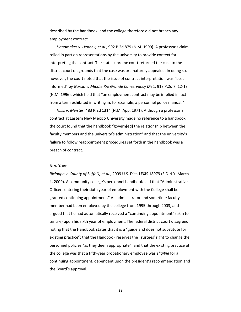described by the handbook, and the college therefore did not breach any employment contract.

*Handmaker v. Henney, et al.*, 992 P.2d 879 (N.M. 1999). A professor's claim relied in part on representations by the university to provide context for interpreting the contract. The state supreme court returned the case to the district court on grounds that the case was prematurely appealed. In doing so, however, the court noted that the issue of contract interpretation was "best informed" by *Garcia v. Middle Rio Grande Conservancy Dist.,* 918 P.2d 7, 12-13 (N.M. 1996), which held that "an employment contract may be implied in fact from a term exhibited in writing in, for example, a personnel policy manual."

*Hillis v. Meister*, 483 P.2d 1314 (N.M. App. 1971). Although a professor's contract at Eastern New Mexico University made no reference to a handbook, the court found that the handbook "govern[ed] the relationship between the faculty members and the university's administration" and that the university's failure to follow reappointment procedures set forth in the handbook was a breach of contract.

#### **NEW YORK**

*Ricioppo v. County of Suffolk, et al.*, 2009 U.S. Dist. LEXIS 18979 (E.D.N.Y. March 4, 2009). A community college's personnel handbook said that "Administrative Officers entering their sixth year of employment with the College shall be granted continuing appointment." An administrator and sometime faculty member had been employed by the college from 1995 through 2003, and argued that he had automatically received a "continuing appointment" (akin to tenure) upon his sixth year of employment. The federal district court disagreed, noting that the Handbook states that it is a "guide and does not substitute for existing practice"; that the Handbook reserves the Trustees' right to change the personnel policies "as they deem appropriate"; and that the existing practice at the college was that a fifth-year probationary employee was *eligible* for a continuing appointment, dependent upon the president's recommendation and the Board's approval.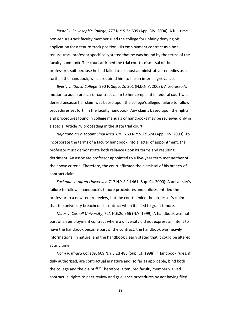*Postol v. St. Joseph's College*, 777 N.Y.S.2d 699 (App. Div. 2004). A full-time non-tenure-track faculty member sued the college for unfairly denying his application for a tenure-track position. His employment contract as a nontenure-track professor specifically stated that he was bound by the terms of the faculty handbook. The court affirmed the trial court's dismissal of the professor's suit because he had failed to exhaust administrative remedies as set forth in the handbook, which required him to file an internal grievance.

*Byerly v. Ithaca College*, 290 F. Supp. 2d 301 (N.D.N.Y. 2003). A professor's motion to add a breach-of-contract claim to her complaint in federal court was denied because her claim was based upon the college's alleged failure to follow procedures set forth in the faculty handbook. Any claims based upon the rights and procedures found in college manuals or handbooks may be reviewed only in a special Article 78 proceeding in the state trial court.

*Rajagopalan v. Mount Sinai Med. Ctr.*, 769 N.Y.S.2d 524 (App. Div. 2003). To incorporate the terms of a faculty handbook into a letter of appointment, the professor must demonstrate both reliance upon its terms and resulting detriment. An associate professor appointed to a five-year term met neither of the above criteria. Therefore, the court affirmed the dismissal of his breach-ofcontract claim.

*Sackman v. Alfred University*, 717 N.Y.S.2d 461 (Sup. Ct. 2000). A university's failure to follow a handbook's tenure procedures and policies entitled the professor to a new tenure review, but the court denied the professor's claim that the university breached his contract when it failed to grant tenure.

*Maas v. Cornell University*, 721 N.E.2d 966 (N.Y. 1999). A handbook was not part of an employment contract where a university did not express an intent to have the handbook become part of the contract, the handbook was heavily informational in nature, and the handbook clearly stated that it could be altered at any time.

*Holm v. Ithaca College*, 669 N.Y.S.2d 483 (Sup. Ct. 1998). "Handbook rules, if duly authorized, are contractual in nature and, so far as applicable, bind both the college and the plaintiff." Therefore, a tenured faculty member waived contractual rights to peer review and grievance procedures by not having filed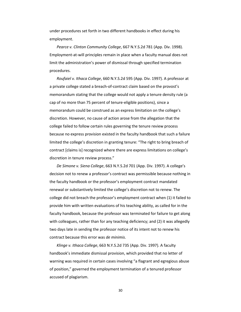under procedures set forth in two different handbooks in effect during his employment.

*Pearce v. Clinton Community College*, 667 N.Y.S.2d 781 (App. Div. 1998). Employment-at-will principles remain in place when a faculty manual does not limit the administration's power of dismissal through specified termination procedures.

*Roufaiel v. Ithaca College*, 660 N.Y.S.2d 595 (App. Div. 1997). A professor at a private college stated a breach-of-contract claim based on the provost's memorandum stating that the college would not apply a tenure density rule (a cap of no more than 75 percent of tenure-eligible positions), since a memorandum could be construed as an express limitation on the college's discretion. However, no cause of action arose from the allegation that the college failed to follow certain rules governing the tenure review process because no express provision existed in the faculty handbook that such a failure limited the college's discretion in granting tenure: "The right to bring breach of contract [claims is] recognized where there are express limitations on college's discretion in tenure review process."

*De Simone v. Siena College*, 663 N.Y.S.2d 701 (App. Div. 1997). A college's decision not to renew a professor's contract was permissible because nothing in the faculty handbook or the professor's employment contract mandated renewal or substantively limited the college's discretion not to renew. The college did not breach the professor's employment contract when (1) it failed to provide him with written evaluations of his teaching ability, as called for in the faculty handbook, because the professor was terminated for failure to get along with colleagues, rather than for any teaching deficiency; and (2) it was allegedly two days late in sending the professor notice of its intent not to renew his contract because this error was *de minimis*.

*Klinge v. Ithaca College*, 663 N.Y.S.2d 735 (App. Div. 1997). A faculty handbook's immediate dismissal provision, which provided that no letter of warning was required in certain cases involving "a flagrant and egregious abuse of position," governed the employment termination of a tenured professor accused of plagiarism.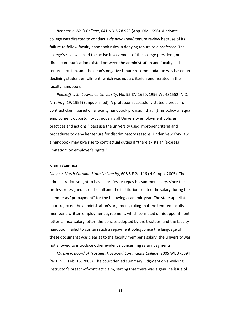*Bennett v. Wells College*, 641 N.Y.S.2d 929 (App. Div. 1996). A private college was directed to conduct a *de novo* (new) tenure review because of its failure to follow faculty handbook rules in denying tenure to a professor. The college's review lacked the active involvement of the college president, no direct communication existed between the administration and faculty in the tenure decision, and the dean's negative tenure recommendation was based on declining student enrollment, which was not a criterion enumerated in the faculty handbook.

*Polakoff v. St. Lawrence University*, No. 95-CV-1660, 1996 WL 481552 (N.D. N.Y. Aug. 19, 1996) (unpublished). A professor successfully stated a breach-ofcontract claim, based on a faculty handbook provision that "[t]his policy of equal employment opportunity . . . governs all University employment policies, practices and actions," because the university used improper criteria and procedures to deny her tenure for discriminatory reasons. Under New York law, a handbook may give rise to contractual duties if "there exists an 'express limitation' on employer's rights."

#### **NORTH CAROLINA**

*Mayo v. North Carolina State University*, 608 S.E.2d 116 (N.C. App. 2005). The administration sought to have a professor repay his summer salary, since the professor resigned as of the fall and the institution treated the salary during the summer as "prepayment" for the following academic year. The state appellate court rejected the administration's argument, ruling that the tenured faculty member's written employment agreement, which consisted of his appointment letter, annual salary letter, the policies adopted by the trustees, and the faculty handbook, failed to contain such a repayment policy. Since the language of these documents was clear as to the faculty member's salary, the university was not allowed to introduce other evidence concerning salary payments.

*Massie v. Board of Trustees, Haywood Community College*, 2005 WL 375594 (W.D.N.C. Feb. 16, 2005). The court denied summary judgment on a welding instructor's breach-of-contract claim, stating that there was a genuine issue of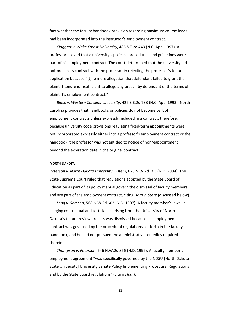fact whether the faculty handbook provision regarding maximum course loads had been incorporated into the instructor's employment contract.

*Claggett v. Wake Forest University*, 486 S.E.2d 443 (N.C. App. 1997). A professor alleged that a university's policies, procedures, and guidelines were part of his employment contract. The court determined that the university did not breach its contract with the professor in rejecting the professor's tenure application because "[t]he mere allegation that defendant failed to grant the plaintiff tenure is insufficient to allege any breach by defendant of the terms of plaintiff's employment contract."

*Black v. Western Carolina University*, 426 S.E.2d 733 (N.C. App. 1993). North Carolina provides that handbooks or policies do not become part of employment contracts unless expressly included in a contract; therefore, because university code provisions regulating fixed-term appointments were not incorporated expressly either into a professor's employment contract or the handbook, the professor was not entitled to notice of nonreappointment beyond the expiration date in the original contract.

#### **NORTH DAKOTA**

*Peterson v. North Dakota University System*, 678 N.W.2d 163 (N.D. 2004). The State Supreme Court ruled that regulations adopted by the State Board of Education as part of its policy manual govern the dismissal of faculty members and are part of the employment contract, citing *Hom v. State* (discussed below).

*Long v. Samson*, 568 N.W.2d 602 (N.D. 1997). A faculty member's lawsuit alleging contractual and tort claims arising from the University of North Dakota's tenure review process was dismissed because his employment contract was governed by the procedural regulations set forth in the faculty handbook, and he had not pursued the administrative remedies required therein.

*Thompson v. Peterson*, 546 N.W.2d 856 (N.D. 1996). A faculty member's employment agreement "was specifically governed by the NDSU [North Dakota State University] University Senate Policy Implementing Procedural Regulations and by the State Board regulations" (citing *Hom*).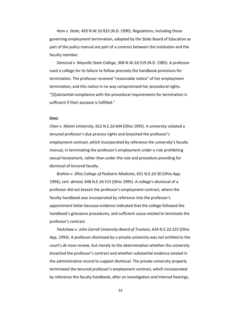*Hom v. State,* 459 N.W.2d 823 (N.D. 1990). Regulations, including those governing employment termination, adopted by the State Board of Education as part of the policy manual are part of a contract between the institution and the faculty member.

*Stensrud v. Mayville State College*, 368 N.W.2d 519 (N.D. 1985). A professor sued a college for its failure to follow precisely the handbook provisions for termination. The professor received "reasonable notice" of her employment termination, and this notice in no way compromised her procedural rights. "[S]ubstantial compliance with the procedural requirements for termination is sufficient if their purpose is fulfilled."

#### **OHIO**

*Chan v. Miami University*, 652 N.E.2d 644 (Ohio 1995). A university violated a tenured professor's due process rights and breached the professor's employment contract, which incorporated by reference the university's faculty manual, in terminating the professor's employment under a rule prohibiting sexual harassment, rather than under the rule and procedure providing for dismissal of tenured faculty.

*Brahim v. Ohio College of Podiatric Medicine*, 651 N.E.2d 30 (Ohio App. 1994), *cert. denied*, 648 N.E.2d 515 (Ohio 1995). A college's dismissal of a professor did not breach the professor's employment contract, where the faculty handbook was incorporated by reference into the professor's appointment letter because evidence indicated that the college followed the handbook's grievance procedures, and sufficient cause existed to terminate the professor's contract.

*Yackshaw v. John Carroll University Board of Trustees*, 624 N.E.2d 225 (Ohio App. 1993). A professor dismissed by a private university was not entitled to the court's *de novo* review, but merely to the determination whether the university breached the professor's contract and whether substantial evidence existed in the administrative record to support dismissal. The private university properly terminated the tenured professor's employment contract, which incorporated by reference the faculty handbook, after an investigation and internal hearings,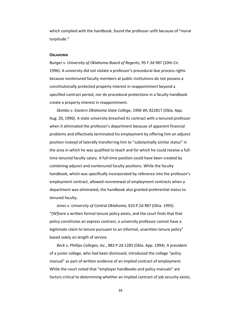which complied with the handbook, found the professor unfit because of "moral turpitude."

#### **OKLAHOMA**

*Bunger v. University of Oklahoma Board of Regents*, 95 F.3d 987 (10th Cir. 1996). A university did not violate a professor's procedural due process rights because nontenured faculty members at public institutions do not possess a constitutionally protected property interest in reappointment beyond a specified contract period, nor do procedural protections in a faculty handbook create a property interest in reappointment.

*Skimbo v. Eastern Oklahoma State College*, 1996 WL 822817 (Okla. App. Aug. 20, 1996). A state university breached its contract with a tenured professor when it eliminated the professor's department because of apparent financial problems and effectively terminated his employment by offering him an adjunct position instead of laterally transferring him to "substantially similar status" in the area in which he was qualified to teach and for which he could receive a fulltime tenured faculty salary. A full-time position could have been created by combining adjunct and nontenured faculty positions. While the faculty handbook, which was specifically incorporated by reference into the professor's employment contract, allowed nonrenewal of employment contracts when a department was eliminated, the handbook also granted preferential status to tenured faculty.

*Jones v. University of Central Oklahoma*, 910 P.2d 987 (Okla. 1995). "[W]here a written formal tenure policy exists, and the court finds that that policy constitutes an express contract, a university professor cannot have a legitimate claim to tenure pursuant to an informal, unwritten tenure policy" based solely on length of service.

*Beck v. Phillips Colleges, Inc.*, 883 P.2d 1283 (Okla. App. 1994). A president of a junior college, who had been dismissed, introduced the college "policy manual" as part of written evidence of an implied contract of employment. While the court noted that "employer handbooks and policy manuals" are factors critical to determining whether an implied contract of job security exists,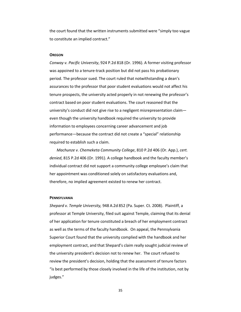the court found that the written instruments submitted were "simply too vague to constitute an implied contract."

#### **OREGON**

*Conway v. Pacific University*, 924 P.2d 818 (Or. 1996). A former visiting professor was appoined to a tenure-track position but did not pass his probationary period. The professor sued. The court ruled that notwithstanding a dean's assurances to the professor that poor student evaluations would not affect his tenure prospects, the university acted properly in not renewing the professor's contract based on poor student evaluations. The court reasoned that the university's conduct did not give rise to a negligent misrepresentation claim even though the university handbook required the university to provide information to employees concerning career advancement and job performance—because the contract did not create a "special" relationship required to establish such a claim.

*Machunze v. Chemeketa Community College*, 810 P.2d 406 (Or. App.), *cert. denied*, 815 P.2d 406 (Or. 1991). A college handbook and the faculty member's individual contract did not support a community college employee's claim that her appointment was conditioned solely on satisfactory evaluations and, therefore, no implied agreement existed to renew her contract.

#### **PENNSYLVANIA**

*Shepard v. Temple University,* 948 A.2d 852 (Pa. Super. Ct. 2008). Plaintiff, a professor at Temple University, filed suit against Temple, claiming that its denial of her application for tenure constituted a breach of her employment contract as well as the terms of the faculty handbook. On appeal, the Pennsylvania Superior Court found that the university complied with the handbook and her employment contract, and that Shepard's claim really sought judicial review of the university president's decision not to renew her. The court refused to review the president's decision, holding that the assessment of tenure factors "is best performed by those closely involved in the life of the institution, not by judges."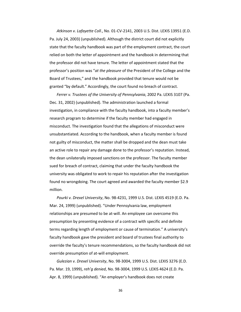*Atkinson v. Lafayette Coll*., No. 01-CV-2141, 2003 U.S. Dist. LEXIS 13951 (E.D. Pa. July 24, 2003) (unpublished). Although the district court did not explicitly state that the faculty handbook was part of the employment contract, the court relied on both the letter of appointment and the handbook in determining that the professor did not have tenure. The letter of appointment stated that the professor's position was "*at the pleasure* of the President of the College and the Board of Trustees," and the handbook provided that tenure would not be granted "by default." Accordingly, the court found no breach of contract.

*Ferrer v. Trustees of the University of Pennsylvania*, 2002 Pa. LEXIS 3107 (Pa. Dec. 31, 2002) (unpublished). The administration launched a formal investigation, in compliance with the faculty handbook, into a faculty member's research program to determine if the faculty member had engaged in misconduct. The investigation found that the allegations of misconduct were unsubstantiated. According to the handbook, when a faculty member is found not guilty of misconduct, the matter shall be dropped and the dean must take an active role to repair any damage done to the professor's reputation. Instead, the dean unilaterally imposed sanctions on the professor. The faculty member sued for breach of contract, claiming that under the faculty handbook the university was obligated to work to repair his reputation after the investigation found no wrongdoing. The court agreed and awarded the faculty member \$2.9 million.

*Pourki v. Drexel University*, No. 98-4231, 1999 U.S. Dist. LEXIS 4519 (E.D. Pa. Mar. 24, 1999) (unpublished). "Under Pennsylvania law, employment relationships are presumed to be at-will. An employee can overcome this presumption by presenting evidence of a contract with specific and definite terms regarding length of employment or cause of termination." A university's faculty handbook gave the president and board of trustees final authority to override the faculty's tenure recommendations, so the faculty handbook did not override presumption of at-will employment.

*Gulezian v. Drexel University*, No. 98-3004, 1999 U.S. Dist. LEXIS 3276 (E.D. Pa. Mar. 19, 1999), *reh'g denied*, No. 98-3004, 1999 U.S. LEXIS 4624 (E.D. Pa. Apr. 8, 1999) (unpublished). "An employer's handbook does not create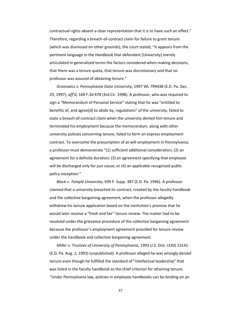contractual rights absent a clear representation that it is to have such an effect." Therefore, regarding a breach-of-contract claim for failure to grant tenure (which was dismissed on other grounds), the court stated, "It appears from the pertinent language in the Handbook that defendant [University] merely articulated in generalized terms the factors considered when making decisions, that there was a tenure quota, that tenure was discretionary and that no professor was assured of obtaining tenure."

*Gronowicz v. Pennsylvania State University*, 1997 WL 799438 (E.D. Pa. Dec. 29, 1997), *aff'd*, 168 F.3d 478 (3rd Cir. 1998). A professor, who was required to sign a "Memorandum of Personal Service" stating that he was "entitled to benefits of, and agree[d] to abide by, regulations" of the university, failed to state a breach-of-contract claim when the university denied him tenure and terminated his employment because the memorandum, along with other university policies concerning tenure, failed to form an express employment contract. To overcome the presumption of at-will employment in Pennsylvania, a professor must demonstrate "(1) sufficient additional consideration; (2) an agreement for a definite duration; (3) an agreement specifying that employee will be discharged only for just cause; or (4) an applicable recognized public policy exception."

*Block v. Temple University*, 939 F. Supp. 387 (E.D. Pa. 1996). A professor claimed that a university breached its contract, created by the faculty handbook and the collective bargaining agreement, when the professor allegedly withdrew his tenure application based on the institution's promise that he would later receive a "fresh and fair" tenure review. The matter had to be resolved under the grievance procedure of the collective bargaining agreement because the professor's employment agreement provided for tenure review under the handbook and collective bargaining agreement.

*Miller v. Trustees of University of Pennsylvania*, 1993 U.S. Dist. LEXIS 13141 (E.D. Pa. Aug. 2, 1993) (unpublished). A professor alleged he was wrongly denied tenure even though he fulfilled the standard of "intellectual leadership" that was listed in the faculty handbook as the chief criterion for attaining tenure. "Under Pennsylvania law, policies in employee handbooks can be binding on an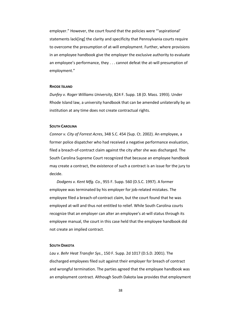employer." However, the court found that the policies were "'aspirational' statements lack[ing] the clarity and specificity that Pennsylvania courts require to overcome the presumption of at-will employment. Further, where provisions in an employee handbook give the employer the exclusive authority to evaluate an employee's performance, they . . . cannot defeat the at-will presumption of employment."

#### **RHODE ISLAND**

*Dunfey v. Roger Williams University*, 824 F. Supp. 18 (D. Mass. 1993). Under Rhode Island law, a university handbook that can be amended unilaterally by an institution at any time does not create contractual rights.

#### **SOUTH CAROLINA**

*Connor v. City of Forrest Acres*, 348 S.C. 454 (Sup. Ct. 2002). An employee, a former police dispatcher who had received a negative performance evaluation, filed a breach-of-contract claim against the city after she was discharged. The South Carolina Supreme Court recognized that because an employee handbook may create a contract, the existence of such a contract is an issue for the jury to decide.

*Dodgens v. Kent Mfg. Co.*, 955 F. Supp. 560 (D.S.C. 1997). A former employee was terminated by his employer for job-related mistakes. The employee filed a breach-of-contract claim, but the court found that he was employed at-will and thus not entitled to relief. While South Carolina courts recognize that an employer can alter an employee's at-will status through its employee manual, the court in this case held that the employee handbook did not create an implied contract.

#### **SOUTH DAKOTA**

*Lau v. Behr Heat Transfer Sys.*, 150 F. Supp. 2d 1017 (D.S.D. 2001). The discharged employees filed suit against their employer for breach of contract and wrongful termination. The parties agreed that the employee handbook was an employment contract. Although South Dakota law provides that employment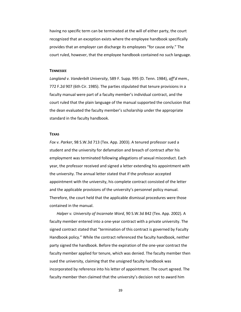having no specific term can be terminated at the will of either party, the court recognized that an exception exists where the employee handbook specifically provides that an employer can discharge its employees "for cause only." The court ruled, however, that the employee handbook contained no such language.

#### **TENNESSEE**

*Langland v. Vanderbilt University*, 589 F. Supp. 995 (D. Tenn. 1984), *aff'd mem.*, 772 F.2d 907 (6th Cir. 1985). The parties stipulated that tenure provisions in a faculty manual were part of a faculty member's individual contract, and the court ruled that the plain language of the manual supported the conclusion that the dean evaluated the faculty member's scholarship under the appropriate standard in the faculty handbook.

#### **TEXAS**

*Fox v. Parker*, 98 S.W.3d 713 (Tex. App. 2003). A tenured professor sued a student and the university for defamation and breach of contract after his employment was terminated following allegations of sexual misconduct. Each year, the professor received and signed a letter extending his appointment with the university. The annual letter stated that if the professor accepted appointment with the university, his complete contract consisted of the letter and the applicable provisions of the university's personnel policy manual. Therefore, the court held that the applicable dismissal procedures were those contained in the manual.

*Halper v. University of Incarnate Word*, 90 S.W.3d 842 (Tex. App. 2002). A faculty member entered into a one-year contract with a private university. The signed contract stated that "termination of this contract is governed by Faculty Handbook policy." While the contract referenced the faculty handbook, neither party signed the handbook. Before the expiration of the one-year contract the faculty member applied for tenure, which was denied. The faculty member then sued the university, claiming that the unsigned faculty handbook was incorporated by reference into his letter of appointment. The court agreed. The faculty member then claimed that the university's decision not to award him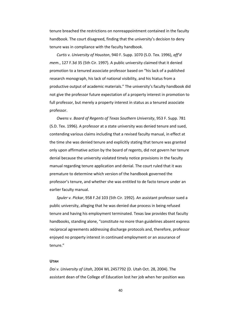tenure breached the restrictions on nonreappointment contained in the faculty handbook. The court disagreed, finding that the university's decision to deny tenure was in compliance with the faculty handbook.

*Curtis v. University of Houston*, 940 F. Supp. 1070 (S.D. Tex. 1996), *aff'd mem.*, 127 F.3d 35 (5th Cir. 1997). A public university claimed that it denied promotion to a tenured associate professor based on "his lack of a published research monograph, his lack of national visibility, and his hiatus from a productive output of academic materials." The university's faculty handbook did not give the professor future expectation of a property interest in promotion to full professor, but merely a property interest in status as a tenured associate professor.

*Owens v. Board of Regents of Texas Southern University*, 953 F. Supp. 781 (S.D. Tex. 1996). A professor at a state university was denied tenure and sued, contending various claims including that a revised faculty manual, in effect at the time she was denied tenure and explicitly stating that tenure was granted only upon affirmative action by the board of regents, did not govern her tenure denial because the university violated timely notice provisions in the faculty manual regarding tenure application and denial. The court ruled that it was premature to determine which version of the handbook governed the professor's tenure, and whether she was entitled to de facto tenure under an earlier faculty manual.

*Spuler v. Pickar*, 958 F.2d 103 (5th Cir. 1992). An assistant professor sued a public university, alleging that he was denied due process in being refused tenure and having his employment terminated. Texas law provides that faculty handbooks, standing alone, "constitute no more than guidelines absent express reciprocal agreements addressing discharge protocols and, therefore, professor enjoyed no property interest in continued employment or an assurance of tenure."

### **UTAH**

*Doi v. University of Utah*, 2004 WL 2457792 (D. Utah Oct. 28, 2004). The assistant dean of the College of Education lost her job when her position was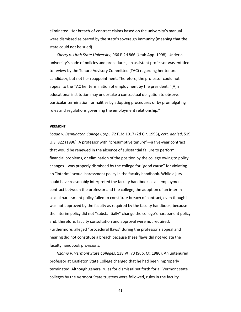eliminated. Her breach-of-contract claims based on the university's manual were dismissed as barred by the state's sovereign immunity (meaning that the state could not be sued).

*Cherry v. Utah State University*, 966 P.2d 866 (Utah App. 1998). Under a university's code of policies and procedures, an assistant professor was entitled to review by the Tenure Advisory Committee (TAC) regarding her tenure candidacy, but not her reappointment. Therefore, the professor could not appeal to the TAC her termination of employment by the president. "[A]n educational institution may undertake a contractual obligation to observe particular termination formalities by adopting procedures or by promulgating rules and regulations governing the employment relationship."

#### **VERMONT**

*Logan v. Bennington College Corp.,* 72 F.3d 1017 (2d Cir. 1995), *cert. denied*, 519 U.S. 822 (1996). A professor with "presumptive tenure"—a five-year contract that would be renewed in the absence of substantial failure to perform, financial problems, or elimination of the position by the college owing to policy changes—was properly dismissed by the college for "good cause" for violating an "interim" sexual harassment policy in the faculty handbook. While a jury could have reasonably interpreted the faculty handbook as an employment contract between the professor and the college, the adoption of an interim sexual harassment policy failed to constitute breach of contract, even though it was not approved by the faculty as required by the faculty handbook, because the interim policy did not "substantially" change the college's harassment policy and, therefore, faculty consultation and approval were not required. Furthermore, alleged "procedural flaws" during the professor's appeal and hearing did not constitute a breach because these flaws did not violate the faculty handbook provisions.

*Nzomo v. Vermont State Colleges*, 138 Vt. 73 (Sup. Ct. 1980). An untenured professor at Castleton State College charged that he had been improperly terminated. Although general rules for dismissal set forth for all Vermont state colleges by the Vermont State trustees were followed, rules in the faculty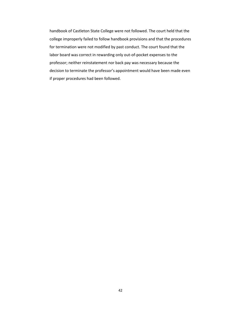handbook of Castleton State College were not followed. The court held that the college improperly failed to follow handbook provisions and that the procedures for termination were not modified by past conduct. The court found that the labor board was correct in rewarding only out-of-pocket expenses to the professor; neither reinstatement nor back pay was necessary because the decision to terminate the professor's appointment would have been made even if proper procedures had been followed.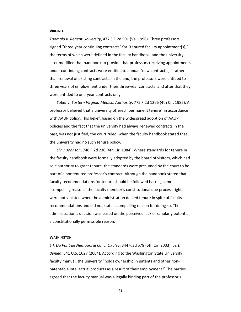#### **VIRGINIA**

*Tuomala v. Regent University*, 477 S.E.2d 501 (Va. 1996). Three professors signed "three-year continuing contracts" for "tenured faculty appointment[s]," the terms of which were defined in the faculty handbook, and the university later modified that handbook to provide that professors receiving appointments under continuing contracts were entitled to annual "new contract[s]," rather than renewal of existing contracts. In the end, the professors were entitled to three years of employment under their three-year contracts, and after that they were entitled to one-year contracts only.

*Sabet v. Eastern Virginia Medical Authority*, 775 F.2d 1266 (4th Cir. 1985). A professor believed that a university offered "permanent tenure" in accordance with AAUP policy. This belief, based on the widespread adoption of AAUP policies and the fact that the university had always renewed contracts in the past, was not justified, the court ruled, when the faculty handbook stated that the university had no such tenure policy.

*Siv v. Johnson*, 748 F.2d 238 (4th Cir. 1984). Where standards for tenure in the faculty handbook were formally adopted by the board of visitors, which had sole authority to grant tenure, the standards were presumed by the court to be part of a nontenured professor's contract. Although the handbook stated that faculty recommendations for tenure should be followed barring some "compelling reason," the faculty member's constitutional due process rights were not violated when the administration denied tenure in spite of faculty recommendations and did not state a compelling reason for doing so. The administration's decision was based on the perceived lack of scholarly potential, a constitutionally permissible reason.

#### **WASHINGTON**

*E.I. Du Pont de Nemours & Co. v. Okuley*, 344 F.3d 578 (6th Cir. 2003), *cert. denied*, 541 U.S. 1027 (2004). According to the Washington State University faculty manual, the university "holds ownership in patents and other nonpatentable intellectual products as a result of their employment." The parties agreed that the faculty manual was a legally binding part of the professor's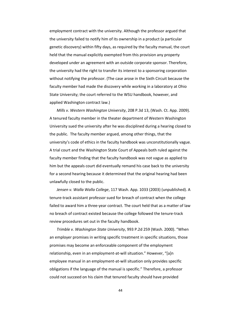employment contract with the university. Although the professor argued that the university failed to notify him of its ownership in a product (a particular genetic discovery) within fifty days, as required by the faculty manual, the court held that the manual explicitly exempted from this provision any property developed under an agreement with an outside corporate sponsor. Therefore, the university had the right to transfer its interest to a sponsoring corporation without notifying the professor. (The case arose in the Sixth Circuit because the faculty member had made the discovery while working in a laboratory at Ohio State University; the court referred to the WSU handbook, however, and applied Washington contract law.)

*Mills v. Western Washington University*, 208 P.3d 13, (Wash. Ct. App. 2009). A tenured faculty member in the theater department of Western Washington University sued the university after he was disciplined during a hearing closed to the public. The faculty member argued, among other things, that the university's code of ethics in the faculty handbook was unconstitutionally vague. A trial court and the Washington State Court of Appeals both ruled against the faculty member finding that the faculty handbook was not vague as applied to him but the appeals court did eventually remand his case back to the university for a second hearing because it determined that the original hearing had been unlawfully closed to the public.

*Jensen v. Walla Walla College*, 117 Wash. App. 1033 (2003) (unpublished). A tenure-track assistant professor sued for breach of contract when the college failed to award him a three-year contract. The court held that as a matter of law no breach of contract existed because the college followed the tenure-track review procedures set out in the faculty handbook.

*Trimble v. Washington State University*, 993 P.2d 259 (Wash. 2000). "When an employer promises in writing specific treatment in specific situations, those promises may become an enforceable component of the employment relationship, even in an employment-at-will situation." However, "[a]n employee manual in an employment-at-will situation only provides specific obligations if the language of the manual is specific." Therefore, a professor could not succeed on his claim that tenured faculty should have provided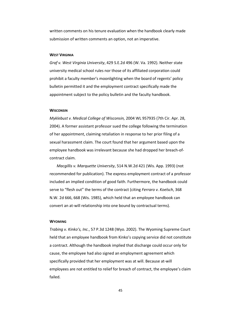written comments on his tenure evaluation when the handbook clearly made submission of written comments an option, not an imperative.

#### **WEST VIRGINIA**

*Graf v. West Virginia University*, 429 S.E.2d 496 (W. Va. 1992). Neither state university medical school rules nor those of its affiliated corporation could prohibit a faculty member's moonlighting when the board of regents' policy bulletin permitted it and the employment contract specifically made the appointment subject to the policy bulletin and the faculty handbook.

#### **WISCONSIN**

*Myklebust v. Medical College of Wisconsin,* 2004 WL 957935 (7th Cir. Apr. 28, 2004). A former assistant professor sued the college following the termination of her appointment, claiming retaliation in response to her prior filing of a sexual harassment claim. The court found that her argument based upon the employee handbook was irrelevant because she had dropped her breach-ofcontract claim.

*Macgillis v. Marquette University*, 514 N.W.2d 421 (Wis. App. 1993) (not recommended for publication). The express employment contract of a professor included an implied condition of good faith. Furthermore, the handbook could serve to "flesh out" the terms of the contract (citing *Ferraro v. Koelsch*, 368 N.W. 2d 666, 668 (Wis. 1985), which held that an employee handbook can convert an at-will relationship into one bound by contractual terms).

#### **WYOMING**

*Trabing v. Kinko's, Inc.*, 57 P.3d 1248 (Wyo. 2002). The Wyoming Supreme Court held that an employee handbook from Kinko's copying service did not constitute a contract. Although the handbook implied that discharge could occur only for cause, the employee had also signed an employment agreement which specifically provided that her employment was at will. Because at-will employees are not entitled to relief for breach of contract, the employee's claim failed.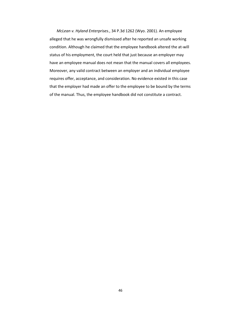*McLean v. Hyland Enterprises.*, 34 P.3d 1262 (Wyo. 2001). An employee alleged that he was wrongfully dismissed after he reported an unsafe working condition. Although he claimed that the employee handbook altered the at-will status of his employment, the court held that just because an employer may have an employee manual does not mean that the manual covers all employees. Moreover, any valid contract between an employer and an individual employee requires offer, acceptance, and consideration. No evidence existed in this case that the employer had made an offer to the employee to be bound by the terms of the manual. Thus, the employee handbook did not constitute a contract.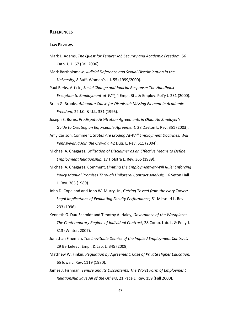## **REFERENCES**

#### **LAW REVIEWS**

- Mark L. Adams, *The Quest for Tenure: Job Security and Academic Freedom*, 56 Cath. U.L. 67 (Fall 2006).
- Mark Bartholomew, *Judicial Deference and Sexual Discrimination in the University*, 8 Buff. Women's L.J. 55 (1999/2000).
- Paul Berks, Article, *Social Change and Judicial Response: The Handbook Exception to Employment-at-Will,* 4 Empl. Rts. & Employ. Pol'y J. 231 (2000).
- Brian G. Brooks, *Adequate Cause for Dismissal: Missing Element in Academic Freedom,* 22 J.C. & U.L. 331 (1995).
- Joseph S. Burns, *Predispute Arbitration Agreements in Ohio: An Employer's Guide to Creating an Enforceable Agreement*, 28 Dayton L. Rev. 351 (2003).
- Amy Carlson, Comment, *States Are Eroding At-Will Employment Doctrines: Will Pennsylvania Join the Crowd?,* 42 Duq. L. Rev. 511 (2004).
- Michael A. Chagares, *Utilization of Disclaimer as an Effective Means to Define Employment Relationship,* 17 Hofstra L. Rev. 365 (1989).
- Michael A. Chagares, Comment, *Limiting the Employment-at-Will Rule: Enforcing Policy Manual Promises Through Unilateral Contract Analysis,* 16 Seton Hall L. Rev. 365 (1989).
- John D. Copeland and John W. Murry, Jr., *Getting Tossed from the Ivory Tower: Legal Implications of Evaluating Faculty Performance,* 61 Missouri L. Rev. 233 (1996).
- Kenneth G. Dau-Schmidt and Timothy A. Haley, *Governance of the Workplace: The Contemporary Regime of Individual Contract*, 28 Comp. Lab. L. & Pol'y J. 313 (Winter, 2007).
- Jonathan Fineman, *The Inevitable Demise of the Implied Employment Contract*, 29 Berkeley J. Empl. & Lab. L. 345 (2008).
- Matthew W. Finkin, *Regulation by Agreement: Case of Private Higher Education,* 65 Iowa L. Rev. 1119 (1980).
- James J. Fishman, *Tenure and Its Discontents: The Worst Form of Employment Relationship Save All of the Others*, 21 Pace L. Rev. 159 (Fall 2000).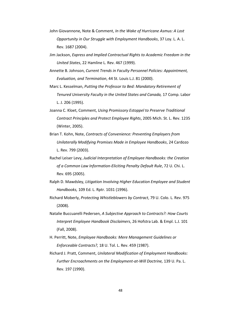- John Giovannone, Note & Comment, *In the Wake of Hurricane Asmus: A Lost Opportunity in Our Struggle with Employment Handbooks*, 37 Loy. L. A. L. Rev. 1687 (2004).
- Jim Jackson, *Express and Implied Contractual Rights to Academic Freedom in the United States*, 22 Hamline L. Rev. 467 (1999).
- Annette B. Johnson, *Current Trends in Faculty Personnel Policies: Appointment, Evaluation, and Termination*, 44 St. Louis L.J. 81 (2000).
- Marc L. Kesselman, *Putting the Professor to Bed: Mandatory Retirement of Tenured University Faculty in the United States and Canada,* 17 Comp. Labor L. J. 206 (1995).
- Joanna C. Kloet, Comment, *Using Promissory Estoppel to Preserve Traditional Contract Principles and Protect Employee Rights*, 2005 Mich. St. L. Rev. 1235 (Winter, 2005).
- Brian T. Kohn, Note, *Contracts of Convenience: Preventing Employers from Unilaterally Modifying Promises Made in Employee Handbooks*, 24 Cardozo L. Rev. 799 (2003).
- Rachel Leiser Levy, *Judicial Interpretation of Employee Handbooks: the Creation of a Common Law Information-Eliciting Penalty Default Rule*, 72 U. Chi. L. Rev. 695 (2005).
- Ralph D. Mawdsley, *Litigation Involving Higher Education Employee and Student Handbooks,* 109 Ed. L. Rptr. 1031 (1996).
- Richard Moberly, *Protecting Whistleblowers by Contract*, 79 U. Colo. L. Rev. 975 (2008).
- Natalie Buccuarelli Pedersen, *A Subjective Approach to Contracts?: How Courts Interpret Employee Handbook Disclaimers*, 26 Hofstra Lab. & Empl. L.J. 101 (Fall, 2008).
- H. Perritt, Note, *Employee Handbooks: Mere Management Guidelines or Enforceable Contracts?,* 18 U. Tol. L. Rev. 459 (1987).
- Richard J. Pratt, Comment, *Unilateral Modification of Employment Handbooks: Further Encroachments on the Employment-at-Will Doctrine,* 139 U. Pa. L. Rev. 197 (1990).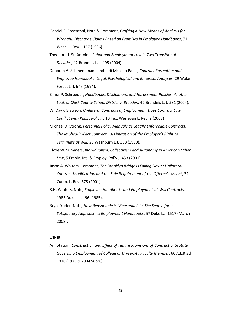- Gabriel S. Rosenthal, Note & Comment, *Crafting a New Means of Analysis for Wrongful Discharge Claims Based on Promises in Employee Handbooks*, 71 Wash. L. Rev. 1157 (1996).
- Theodore J. St. Antoine, *Labor and Employment Law in Two Transitional Decades*, 42 Brandeis L. J. 495 (2004).
- Deborah A. Schmedemann and Judi McLean Parks, *Contract Formation and Employee Handbooks: Legal, Psychological and Empirical Analyses,* 29 Wake Forest L. J. 647 (1994).
- Elinor P. Schroeder, *Handbooks, Disclaimers, and Harassment Policies: Another Look at Clark County School District v. Breeden,* 42 Brandeis L. J. 581 (2004).
- W. David Slawson, *Unilateral Contracts of Employment: Does Contract Law Conflict with Public Policy?,* 10 Tex. Wesleyan L. Rev. 9 (2003)
- Michael D. Strong, *Personnel Policy Manuals as Legally Enforceable Contracts: The Implied-in-Fact Contract—A Limitation of the Employer's Right to Terminate at Will,* 29 Washburn L.J. 368 (1990).
- Clyde W. Summers, *Individualism, Collectivism and Autonomy in American Labor Law*, 5 Emply. Rts. & Employ. Pol'y J. 453 (2001)
- Jason A. Walters, Comment, *The Brooklyn Bridge is Falling Down: Unilateral Contract Modification and the Sole Requirement of the Offeree's Assent*, 32 Cumb. L. Rev. 375 (2001).
- R.H. Winters, Note, *Employee Handbooks and Employment-at-Will Contracts,* 1985 Duke L.J. 196 (1985).
- Bryce Yoder, Note, *How Reasonable is "Reasonable"? The Search for a Satisfactory Approach to Employment Handbooks*, 57 Duke L.J. 1517 (March 2008).

# **OTHER**

Annotation, *Construction and Effect of Tenure Provisions of Contract or Statute Governing Employment of College or University Faculty Member*, 66 A.L.R.3d 1018 (1975 & 2004 Supp.).